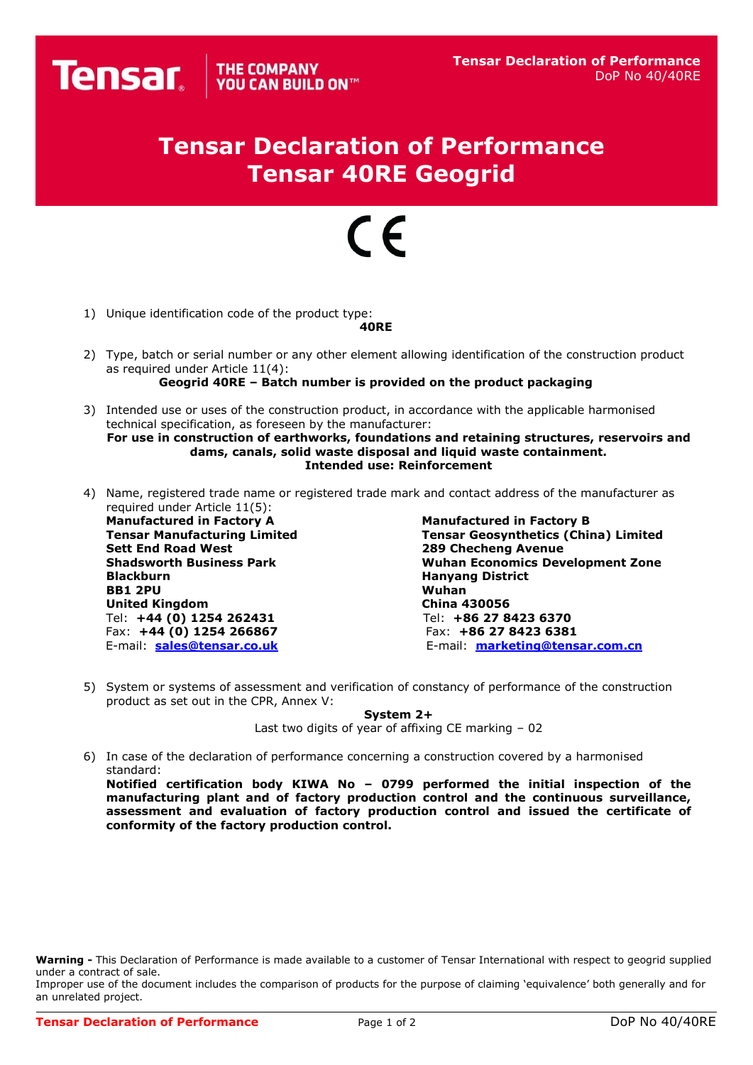## **Tensar Declaration of Performance Tensar 40RE Geogrid**

## $\epsilon$

1) Unique identification code of the product type:

## **40RE**

- 2) Type, batch or serial number or any other element allowing identification of the construction product as required under Article 11(4):
	- **Geogrid 40RE – Batch number is provided on the product packaging**
- 3) Intended use or uses of the construction product, in accordance with the applicable harmonised technical specification, as foreseen by the manufacturer: **For use in construction of earthworks, foundations and retaining structures, reservoirs and** 
	- **dams, canals, solid waste disposal and liquid waste containment. Intended use: Reinforcement**
- 4) Name, registered trade name or registered trade mark and contact address of the manufacturer as required under Article 11(5):

**Manufactured in Factory A Manufactured in Factory B BB1 2PU Wuhan United Kingdom** Tel: **+44 (0) 1254 262431** Tel: **+86 27 8423 6370** Fax: **+44 (0) 1254 266867** Fax: **+86 27 8423 6381**

**Tensar Manufacturing Limited Tensar Geosynthetics (China) Limited 289 Checheng Avenue Shadsworth Business Park Wuhan Economics Development Zone Hanyang District** E-mail: **[sales@tensar.co.uk](mailto:sales@tensar.co.uk)** E-mail: **[marketing@tensar.com.c](mailto:marketing@tensar.com.)n**

5) System or systems of assessment and verification of constancy of performance of the construction product as set out in the CPR, Annex V:

**System 2+**

Last two digits of year of affixing CE marking – 02

6) In case of the declaration of performance concerning a construction covered by a harmonised standard:

**Notified certification body KIWA No – 0799 performed the initial inspection of the manufacturing plant and of factory production control and the continuous surveillance, assessment and evaluation of factory production control and issued the certificate of conformity of the factory production control.**

**Warning -** This Declaration of Performance is made available to a customer of Tensar International with respect to geogrid supplied under a contract of sale.

Improper use of the document includes the comparison of products for the purpose of claiming 'equivalence' both generally and for an unrelated project.